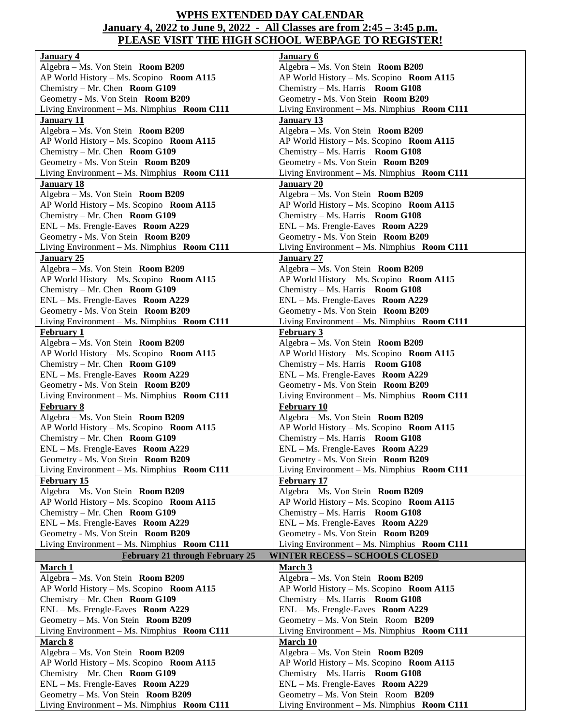## **WPHS EXTENDED DAY CALENDAR January 4, 2022 to June 9, 2022 - All Classes are from 2:45 – 3:45 p.m. PLEASE VISIT THE HIGH SCHOOL WEBPAGE TO REGISTER!**

| January 4                                   | January 6                                   |
|---------------------------------------------|---------------------------------------------|
| Algebra - Ms. Von Stein Room B209           | Algebra - Ms. Von Stein Room B209           |
| AP World History - Ms. Scopino Room A115    | AP World History - Ms. Scopino Room A115    |
| Chemistry – Mr. Chen Room G109              | Chemistry – Ms. Harris Room G108            |
| Geometry - Ms. Von Stein Room B209          | Geometry - Ms. Von Stein Room B209          |
| Living Environment - Ms. Nimphius Room C111 | Living Environment - Ms. Nimphius Room C111 |
| <b>January 11</b>                           | <b>January 13</b>                           |
| Algebra - Ms. Von Stein Room B209           | Algebra - Ms. Von Stein Room B209           |
|                                             |                                             |
| AP World History - Ms. Scopino Room A115    | AP World History - Ms. Scopino Room A115    |
| Chemistry – Mr. Chen Room G109              | Chemistry – Ms. Harris Room G108            |
| Geometry - Ms. Von Stein Room B209          | Geometry - Ms. Von Stein Room B209          |
| Living Environment - Ms. Nimphius Room C111 | Living Environment - Ms. Nimphius Room C111 |
| <b>January 18</b>                           | <b>January 20</b>                           |
| Algebra - Ms. Von Stein Room B209           | Algebra - Ms. Von Stein Room B209           |
| AP World History - Ms. Scopino Room A115    | AP World History - Ms. Scopino Room A115    |
| Chemistry - Mr. Chen Room G109              | Chemistry - Ms. Harris Room G108            |
| ENL - Ms. Frengle-Eaves Room A229           | ENL - Ms. Frengle-Eaves Room A229           |
| Geometry - Ms. Von Stein Room B209          | Geometry - Ms. Von Stein Room B209          |
| Living Environment - Ms. Nimphius Room C111 | Living Environment - Ms. Nimphius Room C111 |
| <b>January 25</b>                           | <b>January 27</b>                           |
| Algebra - Ms. Von Stein Room B209           | Algebra - Ms. Von Stein Room B209           |
|                                             |                                             |
| AP World History - Ms. Scopino Room A115    | AP World History - Ms. Scopino Room A115    |
| Chemistry – Mr. Chen Room G109              | Chemistry – Ms. Harris Room G108            |
| ENL - Ms. Frengle-Eaves Room A229           | ENL - Ms. Frengle-Eaves Room A229           |
| Geometry - Ms. Von Stein Room B209          | Geometry - Ms. Von Stein Room B209          |
| Living Environment - Ms. Nimphius Room C111 | Living Environment - Ms. Nimphius Room C111 |
| <b>February 1</b>                           | <b>February 3</b>                           |
| Algebra - Ms. Von Stein Room B209           | Algebra - Ms. Von Stein Room B209           |
| AP World History - Ms. Scopino Room A115    | AP World History - Ms. Scopino Room A115    |
| Chemistry – Mr. Chen Room G109              | Chemistry – Ms. Harris Room G108            |
| ENL - Ms. Frengle-Eaves Room A229           | ENL - Ms. Frengle-Eaves Room A229           |
| Geometry - Ms. Von Stein Room B209          | Geometry - Ms. Von Stein Room B209          |
| Living Environment - Ms. Nimphius Room C111 | Living Environment - Ms. Nimphius Room C111 |
| <b>February 8</b>                           | February 10                                 |
| Algebra - Ms. Von Stein Room B209           | Algebra - Ms. Von Stein Room B209           |
| AP World History - Ms. Scopino Room A115    | AP World History - Ms. Scopino Room A115    |
| Chemistry – Mr. Chen Room G109              | Chemistry $-$ Ms. Harris Room G108          |
| ENL - Ms. Frengle-Eaves Room A229           | ENL - Ms. Frengle-Eaves Room A229           |
| Geometry - Ms. Von Stein Room B209          | Geometry - Ms. Von Stein Room B209          |
| Living Environment - Ms. Nimphius Room C111 | Living Environment - Ms. Nimphius Room C111 |
| <b>February 15</b>                          | <b>February 17</b>                          |
| Algebra - Ms. Von Stein Room B209           | Algebra - Ms. Von Stein Room B209           |
| AP World History - Ms. Scopino Room A115    | AP World History - Ms. Scopino Room A115    |
| Chemistry – Mr. Chen Room G109              | Chemistry – Ms. Harris Room G108            |
| ENL - Ms. Frengle-Eaves Room A229           | ENL - Ms. Frengle-Eaves Room A229           |
| Geometry - Ms. Von Stein Room B209          | Geometry - Ms. Von Stein Room B209          |
| Living Environment – Ms. Nimphius Room C111 | Living Environment - Ms. Nimphius Room C111 |
| <b>February 21 through February 25</b>      | <b>WINTER RECESS - SCHOOLS CLOSED</b>       |
| <b>March 1</b>                              | March 3                                     |
| Algebra - Ms. Von Stein Room B209           | Algebra - Ms. Von Stein Room B209           |
| AP World History - Ms. Scopino Room A115    | AP World History - Ms. Scopino Room A115    |
| Chemistry – Mr. Chen Room G109              | Chemistry $-$ Ms. Harris Room G108          |
| ENL - Ms. Frengle-Eaves Room A229           | ENL - Ms. Frengle-Eaves Room A229           |
|                                             |                                             |
| Geometry – Ms. Von Stein Room B209          | Geometry – Ms. Von Stein Room B209          |
| Living Environment - Ms. Nimphius Room C111 | Living Environment - Ms. Nimphius Room C111 |
| <b>March 8</b>                              | <b>March 10</b>                             |
| Algebra - Ms. Von Stein Room B209           | Algebra - Ms. Von Stein Room B209           |
| AP World History - Ms. Scopino Room A115    | AP World History - Ms. Scopino Room A115    |
| Chemistry – Mr. Chen Room G109              | Chemistry $-$ Ms. Harris Room G108          |
| ENL - Ms. Frengle-Eaves Room A229           | ENL - Ms. Frengle-Eaves Room A229           |
| Geometry - Ms. Von Stein Room B209          | Geometry - Ms. Von Stein Room B209          |
| Living Environment – Ms. Nimphius Room C111 | Living Environment - Ms. Nimphius Room C111 |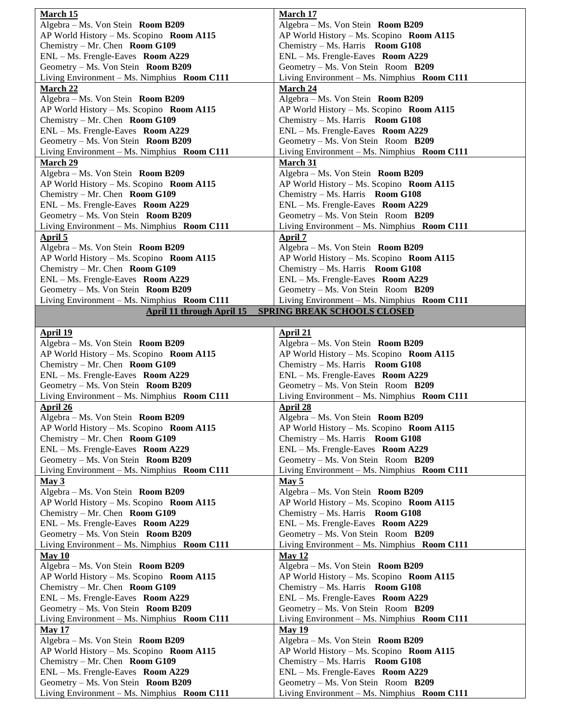| March 15                                                                | March 17                                                                |
|-------------------------------------------------------------------------|-------------------------------------------------------------------------|
| Algebra - Ms. Von Stein Room B209                                       | Algebra - Ms. Von Stein Room B209                                       |
| AP World History - Ms. Scopino Room A115                                | AP World History - Ms. Scopino Room A115                                |
| Chemistry - Mr. Chen Room G109                                          | Chemistry - Ms. Harris Room G108                                        |
| ENL - Ms. Frengle-Eaves Room A229                                       | ENL - Ms. Frengle-Eaves Room A229                                       |
| Geometry - Ms. Von Stein Room B209                                      | Geometry - Ms. Von Stein Room B209                                      |
| Living Environment - Ms. Nimphius Room C111                             | Living Environment - Ms. Nimphius Room C111                             |
| <b>March 22</b>                                                         | March 24                                                                |
| Algebra - Ms. Von Stein Room B209                                       | Algebra - Ms. Von Stein Room B209                                       |
| AP World History - Ms. Scopino Room A115                                | AP World History - Ms. Scopino Room A115                                |
| Chemistry – Mr. Chen Room G109                                          | Chemistry $-$ Ms. Harris Room G108                                      |
| ENL - Ms. Frengle-Eaves Room A229                                       | ENL - Ms. Frengle-Eaves Room A229                                       |
| Geometry - Ms. Von Stein Room B209                                      | Geometry – Ms. Von Stein Room B209                                      |
|                                                                         |                                                                         |
| Living Environment – Ms. Nimphius Room C111                             | Living Environment - Ms. Nimphius Room C111                             |
| <b>March 29</b>                                                         | March 31                                                                |
| Algebra – Ms. Von Stein Room B209                                       | Algebra – Ms. Von Stein Room B209                                       |
| AP World History - Ms. Scopino Room A115                                | AP World History - Ms. Scopino Room A115                                |
| Chemistry - Mr. Chen Room G109                                          | Chemistry - Ms. Harris Room G108                                        |
| ENL - Ms. Frengle-Eaves Room A229                                       | ENL - Ms. Frengle-Eaves Room A229                                       |
| Geometry - Ms. Von Stein Room B209                                      | Geometry – Ms. Von Stein Room B209                                      |
| Living Environment – Ms. Nimphius Room C111                             | Living Environment - Ms. Nimphius Room C111                             |
| <b>April 5</b>                                                          | <b>April 7</b>                                                          |
| Algebra – Ms. Von Stein Room B209                                       | Algebra – Ms. Von Stein Room B209                                       |
| AP World History - Ms. Scopino Room A115                                | AP World History - Ms. Scopino Room A115                                |
| Chemistry – Mr. Chen Room $G109$                                        | Chemistry – Ms. Harris Room G108                                        |
| ENL – Ms. Frengle-Eaves Room A229                                       | ENL - Ms. Frengle-Eaves Room A229                                       |
| Geometry – Ms. Von Stein Room B209                                      | Geometry – Ms. Von Stein Room B209                                      |
| Living Environment - Ms. Nimphius Room C111                             | Living Environment - Ms. Nimphius Room C111                             |
| April 11 through April 15                                               | <b>SPRING BREAK SCHOOLS CLOSED</b>                                      |
|                                                                         |                                                                         |
| April 19                                                                | April 21                                                                |
| Algebra – Ms. Von Stein Room B209                                       | Algebra – Ms. Von Stein Room B209                                       |
| AP World History - Ms. Scopino Room A115                                | AP World History - Ms. Scopino Room A115                                |
|                                                                         |                                                                         |
|                                                                         |                                                                         |
| Chemistry – Mr. Chen Room G109                                          | Chemistry $-$ Ms. Harris Room G108                                      |
| ENL - Ms. Frengle-Eaves Room A229                                       | ENL - Ms. Frengle-Eaves Room A229                                       |
| Geometry - Ms. Von Stein Room B209                                      | Geometry - Ms. Von Stein Room B209                                      |
| Living Environment – Ms. Nimphius Room C111                             | Living Environment - Ms. Nimphius Room C111                             |
| <b>April 26</b>                                                         | <b>April 28</b>                                                         |
| Algebra - Ms. Von Stein Room B209                                       | Algebra - Ms. Von Stein Room B209                                       |
| AP World History - Ms. Scopino Room A115                                | AP World History - Ms. Scopino Room A115                                |
| Chemistry – Mr. Chen Room $G109$                                        | Chemistry $-Ms$ . Harris Room G108                                      |
| $ENL - Ms.$ Frengle-Eaves Room A229                                     | ENL - Ms. Frengle-Eaves Room A229                                       |
| Geometry – Ms. Von Stein Room B209                                      | Geometry – Ms. Von Stein Room B209                                      |
| Living Environment - Ms. Nimphius Room C111                             | Living Environment - Ms. Nimphius Room C111                             |
| May 3                                                                   | May 5                                                                   |
| Algebra - Ms. Von Stein Room B209                                       | Algebra - Ms. Von Stein Room B209                                       |
| AP World History - Ms. Scopino Room A115                                | AP World History - Ms. Scopino Room A115                                |
| Chemistry – Mr. Chen Room G109                                          | Chemistry – Ms. Harris Room G108                                        |
| ENL - Ms. Frengle-Eaves Room A229                                       | ENL - Ms. Frengle-Eaves Room A229                                       |
| Geometry - Ms. Von Stein Room B209                                      | Geometry - Ms. Von Stein Room B209                                      |
| Living Environment – Ms. Nimphius Room C111                             | Living Environment - Ms. Nimphius Room C111                             |
| May 10                                                                  | May 12                                                                  |
| Algebra – Ms. Von Stein Room B209                                       | Algebra – Ms. Von Stein Room B209                                       |
| AP World History - Ms. Scopino Room A115                                | AP World History - Ms. Scopino Room A115                                |
| Chemistry – Mr. Chen Room $G109$                                        | Chemistry $-Ms$ . Harris Room G108                                      |
| ENL - Ms. Frengle-Eaves Room A229                                       | ENL - Ms. Frengle-Eaves Room A229                                       |
| Geometry – Ms. Von Stein Room B209                                      | Geometry – Ms. Von Stein Room B209                                      |
| Living Environment $-$ Ms. Nimphius Room C111                           | Living Environment $-Ms$ . Nimphius Room C111                           |
| <b>May 17</b>                                                           | <b>May 19</b>                                                           |
|                                                                         |                                                                         |
| Algebra - Ms. Von Stein Room B209                                       | Algebra – Ms. Von Stein Room B209                                       |
| AP World History - Ms. Scopino Room A115                                | AP World History - Ms. Scopino Room A115                                |
| Chemistry – Mr. Chen Room G109                                          | Chemistry - Ms. Harris Room G108                                        |
| ENL - Ms. Frengle-Eaves Room A229<br>Geometry – Ms. Von Stein Room B209 | ENL - Ms. Frengle-Eaves Room A229<br>Geometry - Ms. Von Stein Room B209 |